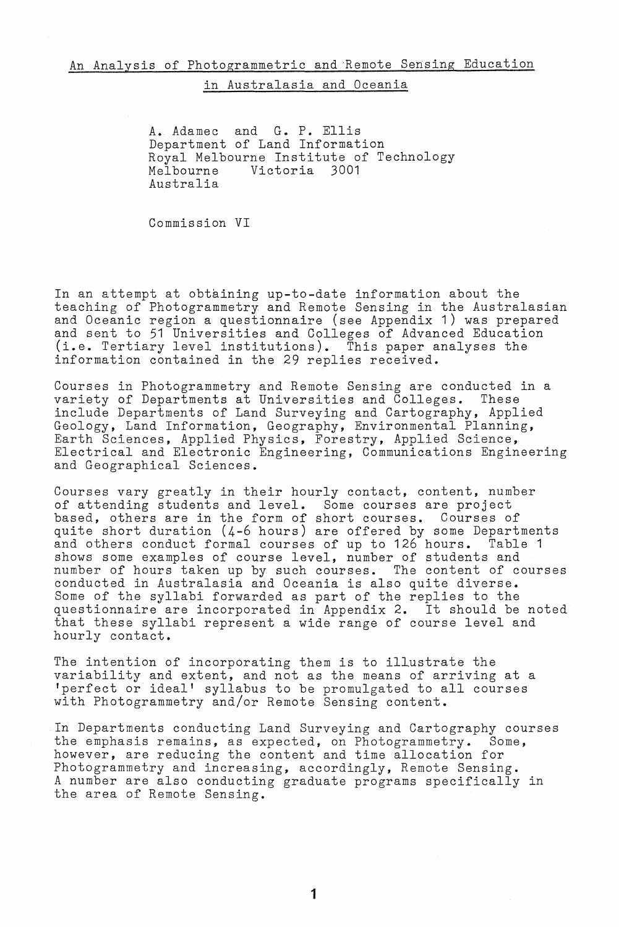## in Australasia and Oceania

A. Adamec and G. P. Ellis Department of Land Information Royal Melbourne Institute of Technology<br>Melbourne Victoria 3001 Victoria 3001 Australia

Commission VI

In an attempt at obtaining up-to-date information about the teaching of Photogrammetry and Remote Sensing in the Australasian and Oceanic region a questionnaire (see Appendix 1) was prepared and sent to 51 Universities and Colleges of Advanced Education (i.e. Tertiary level institutions). This paper analyses the information contained in the 29 replies received.

Courses in Photogrammetry and Remote Sensing are conducted in a variety of Departments at Universities and Colleges. These include Departments of Land Surveying and Cartography, Applied Geology, Land Information, Geography, Environmental Planning, Earth Sciences, Applied Physics, Forestry, Applied Science, Electrical and Electronic Engineering, Communications Engineering and Geographical Sciences.

Courses vary greatly in their hourly contact, content, number of attending students and level. Some courses are project based, others are in the form of short courses. Courses of quite short duration (4-6 hours) are offered by some Departments and others conduct formal courses of up to 126 hours. Table 1 shows some examples of course level, number of students and number of hours taken up by such courses. The content of courses conducted in Australasia and Oceania is also quite diverse. Some of the syllabi forwarded as part of the replies to the questionnaire are incorporated in Appendix 2. It should be noted that these syllabi represent a wide range of course level and hourly contact.

The intention of incorporating them is to illustrate the variability and extent, and not as the means of arriving at a 'perfect or ideal' syllabus to be promulgated to all courses with Photogrammetry and/or Remote Sensing content.

In Departments conducting Land Surveying and Cartography courses the emphasis remains, as expected, on Photogrammetry. Some, however, are reducing the content and time allocation for Photogrammetry and increasing, accordingly, Remote Sensing. A number are also conducting graduate programs specifically in the area of Remote Sensing.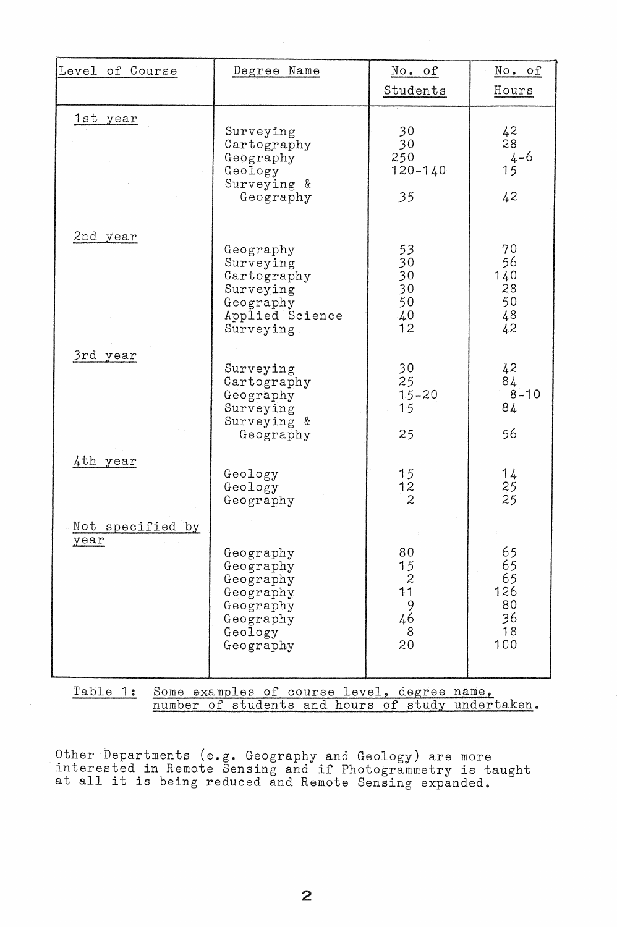| Level of Course                                         | Degree Name                                                                                        | No. of                                               | No. of                                         |
|---------------------------------------------------------|----------------------------------------------------------------------------------------------------|------------------------------------------------------|------------------------------------------------|
|                                                         |                                                                                                    | Students                                             | Hours                                          |
| 1st year                                                | Surveying<br>Cartography<br>Geography<br>Geology<br>Surveying &<br>Geography                       | 30 <sub>1</sub><br>30<br>250<br>$120 - 140$<br>35    | 42<br>28<br>$4 - 6$<br>15<br>42                |
| 2nd year                                                | Geography<br>Surveying<br>Cartography<br>Surveying<br>Geography<br>Applied Science<br>Surveying    | 53<br>30<br>30<br>30<br>50<br>$^{40}_{12}$           | 70<br>56<br>140<br>28<br>50<br>48<br>42        |
| 3rd year                                                | Surveying<br>Cartography<br>Geography<br>Surveying<br>Surveying &<br>Geography                     | 30<br>25<br>$1.5 - 20$<br>15<br>25                   | 42<br>84<br>$8 - 10$<br>84<br>56               |
| 4th year                                                | Geology<br>Geology<br>Geography                                                                    | 15<br>$\frac{12}{2}$                                 | 14<br>$\frac{25}{25}$                          |
| Not specified by<br>year                                | Geography<br>Geography<br>Geography<br>Geography<br>Geography<br>Geography<br>Geology<br>Geography | 80<br>15<br>$\mathbf{z}$<br>11<br>9<br>46<br>8<br>20 | 65<br>65<br>65<br>126<br>80<br>36<br>18<br>100 |
| Table 1:<br>Some examples of course level, degree name, |                                                                                                    |                                                      |                                                |

number of students and hours of study undertaken.

Other Departments (e.g. Geography and Geology) are more interested in Remote Sensing and if Photogrammetry is taught interested in nemote sensing and if Photogrammetry is t<br>at all it is being reduced and Remote Sensing expanded.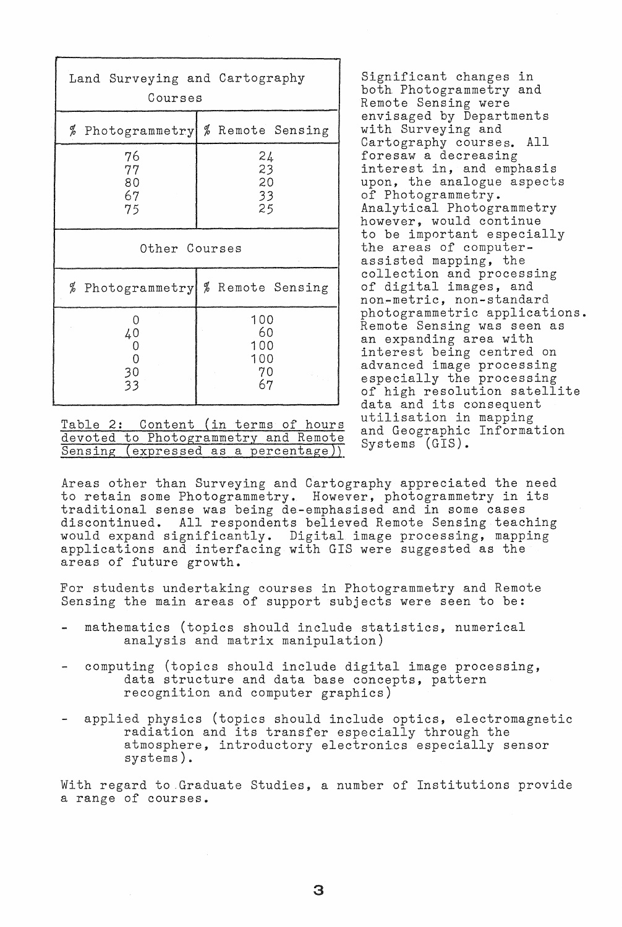| Land Surveying and Cartography<br>Courses |                                     |  |  |
|-------------------------------------------|-------------------------------------|--|--|
|                                           | % Photogrammetry % Remote Sensing   |  |  |
| 76<br>77<br>80<br>67<br>75                | 24<br>23<br>20<br>33<br>25          |  |  |
| Other Courses                             |                                     |  |  |
|                                           | % Photogrammetry   % Remote Sensing |  |  |
| 0<br>40<br>0<br>$\mathbf 0$<br>30<br>33   | 100<br>60<br>100<br>100<br>70<br>67 |  |  |

Table 2: Content (in terms of hours and Geographic<br>devoted to Photogrammetry and Remote and Geographic<br>Consider (GIS). Sensing (expressed as a percentage)).

Significant changes in both Photogrammetry and Remote Sensing were envisaged by Departments with Surveying and Cartography courses. All foresaw a decreasing interest in, and emphasis upon, the analogue aspects of Photogrammetry. Analytical Photogrammetry however, would continue to be important especially the areas of computerassisted mapping, the collection and processing of digital images, and non-metric, non-standard photogrammetric applications. Remote Sensing was seen as an expanding area with interest being centred on advanced image processing especially the processing of high resolution satellite data and its consequent utilisation in mapping<br>and Geographic Information

Areas other than Surveying and Cartography appreciated the need to retain some Photogrammetry. However, photogrammetry in its traditional sense was being de-emphasised and in some cases discontinued. All respondents believed Remote Sensing teaching would expand significantly. Digital image processing, mapping applications and interfacing with GIS were suggested as the areas of future growth.

For students undertaking courses in Photogrammetry and Remote Sensing the main areas of support subjects were seen to be:

- mathematics (topics should include statistics, numerical analysis and matrix manipulation)
- computing (topics should include digital image processing, data structure and data base concepts, pattern recognition and computer graphics)
- applied physics (topics should include optics, electromagnetic radiation and its transfer especially through the atmosphere, introductory electronics especially sensor systems) ..

With regard to .Graduate Studies, a number of Institutions provide a range of courses.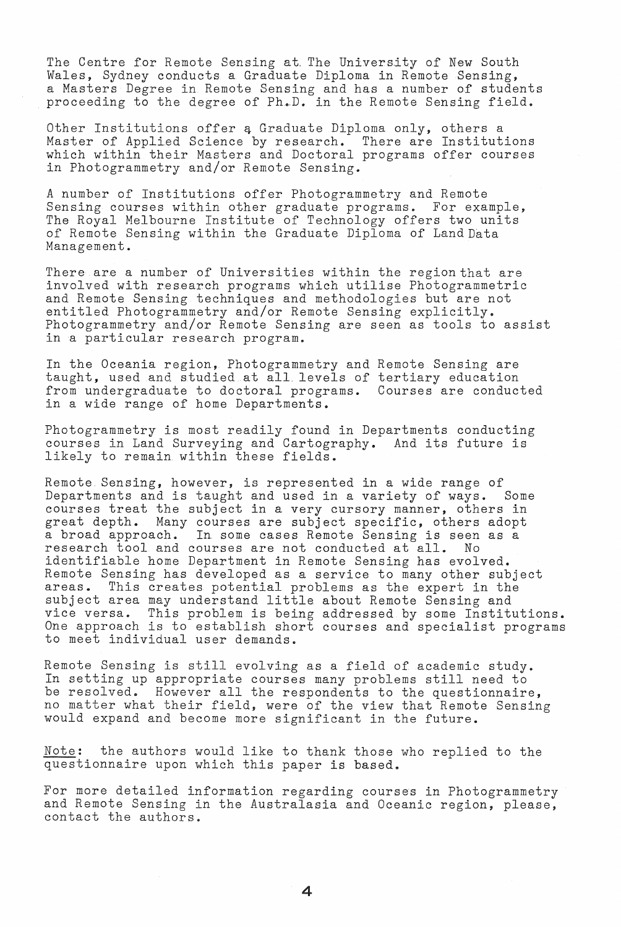The Centre for Remote Sensing at The University of New South Wales, Sydney conducts a Graduate Diploma in Remote Sensing, a Masters Degree in Remote Sensing and has a number o£ students proceeding to the degree of Ph.D. in the Remote Sensing field.

Other Institutions offer a Graduate Diploma only, others a Master of Applied Science by research. There are Institutions which within their Masters and Doctoral programs offer courses in Photogrammetry and/or Remote Sensing. .

A number of Institutions offer Photogrammetry and Remote Sensing courses within other graduate programs. For example, The Royal Melbourne Institute of Technology offers two units of Remote Sensing within the Graduate Diploma of Land Data Management ..

There are a number of Universities within the region that are involved with research programs which utilise Photogrammetric and Remote Sensing techniques and methodologies but are not entitled Photogrammetry and/or Remote Sensing explicitly .. Photogrammetry and/or Remote Sensing are seen as tools to assist in a particular research program.

In the Oceania region, Photogrammetry and Remote Sensing are taught, used and studied at all. levels of tertiary education from undergraduate to doctoral programs. Courses are conducted in a wide range of home Departments.

Photogrammetry is most readily found in Departments conducting courses in Land Surveying and Cartography.. And its future is likely to remain within these fields.

Remote Sensing, however, is represented in a wide range of Departments and is taught and used in a variety of ways. Some courses treat the subject in a very cursory manner, others in<br>great depth. Many courses are subject specific, others adopt Many courses are subject specific, others adopt a broad approach. In some cases Remote Sensing is seen as a research tool and courses are not conducted at all. No identifiable home Department in Remote Sensing has evolved. Remote Sensing has developed as a service to many other subject<br>areas. This creates potential problems as the expert in the This creates potential problems as the expert in the subject area may understand little about Remote Sensing and vice versa. This problem is being addressed by some Institutions. One approach is to establish short courses and specialist programs to meet individual user demands.

Remote Sensing is still evolving as a field of academic study. In setting up appropriate courses many problems still need to In becoming ap appropriate coarses many problems solid need to no matter what their field, were of the view that Remote Sensing would expand and become more significant in the future.

Note: the authors would like to thank those who replied to the questionnaire upon which this paper is based.

For more detailed information regarding courses in Photogrammetry and Remote Sensing in the Australasia and Oceanic region, please, contact the authors ..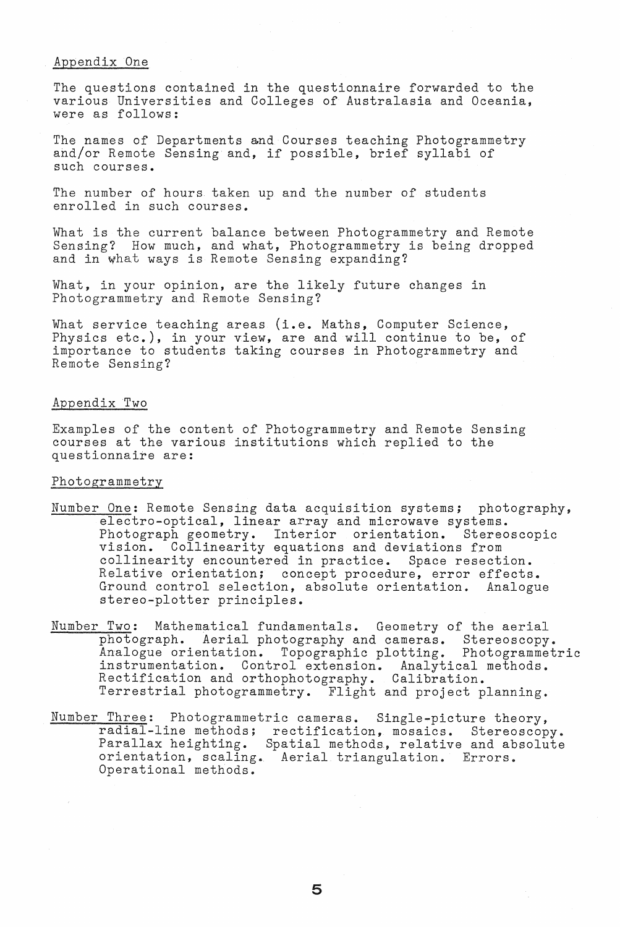### Appendix One

The questions contained in the questionnaire forwarded to the various Universities and Colleges of Australasia and Oceania, were as follows:

The names of Departments and Courses teaching Photogrammetry and/or Remote Sensing and, if possible, brief syllabi of such courses.

The number of hours taken up and the number of students enrolled in such courses.

What is the current balance between Photogrammetry and Remote Sensing? How much, and what, Photogrammetry is being dropped and in what ways is Remote Sensing expanding?

What, in your opinion, are the likely future changes in Photogrammetry and Remote Sensing?

What service teaching areas (i.e. Maths, Computer Science, Physics etc.), in your view, are and will continue to be, of importance to students taking courses in Photogrammetry and Remote Sensing?

# Appendix Two

Examples of the content of Photogrammetry and Remote Sensing courses at the various institutions which replied to the questionnaire are:

#### Photogrammetry

- Number One: Remote Sensing data acquisition systems; photography, electro-optical, linear array and microwave systems.<br>Photograph geometry. Interior orientation. Stereoscopic Photograph geometry. Interior orientation. vision. Collinearity equations and deviations from collinearity encountered in practice. Space resection. Relative orientation; concept procedure, error effects. Ground control selection, absolute orientation. Analogue stereo~plotter principles.
- Number Two: Mathematical fundamentals. Geometry of the aerial photograph. Aerial photography and cameras. Stereoscopy. Analogue orientation. Topographic plotting. Photogrammetric instrumentation. Control extension. Analytical methods. metrimanica.com contract onconsider in mary create. Terrestrial photogrammetry. Flight and project planning.
- Number Three: Photogrammetric cameras. Single-picture theory, radial-line methods; rectification, mosaics. Stereoscopy. Parallax heighting. Spatial methods, relative and absolute orientation, scaling. Aerial triangulation. Errors. Operational methods.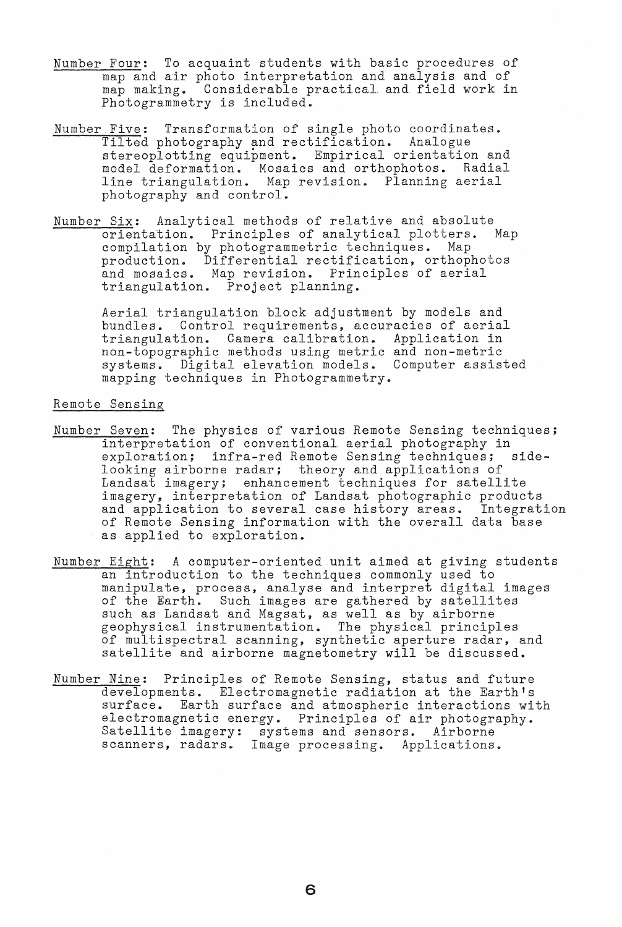- Number Four: To acquaint students with basic procedures of map and air photo interpretation and analysis and of map making. Considerable practical and field work in Photogrammetry is included.
- Number Five: Transformation of single photo coordinates. Tilted photography and rectification. Analogue stereoplotting equipment. Empirical orientation and model deformation. Mosaics and orthophotos. Radial line triangulation. Map revision. Planning aerial photography and control.
- Number Six: Analytical methods of relative and absolute<br>
orientation. Principles of analytical plotters. Map orientation. Principles of analytical plotters. compilation by photogrammetric techniques. Map production. Differential rectification, orthophotos and mosaics. Map revision. Principles of aerial triangulation. Project planning.

Aerial triangulation block adjustment by models and bundles. Control requirements, accuracies of aerial triangulation. Camera calibration. Application in non-topographic methods using metric and non-metric systems. Digital elevation models. Computer assisted mapping techniques in Photogrammetry.

## Remote Sensing

- Number Seven: The physics of various Remote Sensing techniques; interpretation of conventional aerial photography in exploration; infra-red Remote Sensing techniques; sidelooking airborne radar; theory and applications of Landsat imagery; enhancement techniques for satellite imagery, interpretation of Landsat photographic products and application to several case history areas. Integration of Remote Sensing information with the overall data base as applied to exploration.
- Number Eight: A computer-oriented unit aimed at giving students an introduction to the techniques commonly used to manipulate, process, analyse and interpret digital images manipurate; process, analyse and interpret digital images are  $g$  at the Earth. Such images are  $g$  athered by satellites such as Landsat and Magsat, as well as by airborne geophysical instrumentation. The physical principles of multispectral scanning, synthetic aperture radar, and satellite and airborne magnetometry will be discussed.
- Number Nine: Principles of Remote Sensing, status and future developments. Electromagnetic radiation at the Earth's surface. Earth surface and atmospheric interactions with electromagnetic energy. Principles of air photography. Satellite imagery: systems and sensors. Airborne scanners, radars. Image processing. Applications.